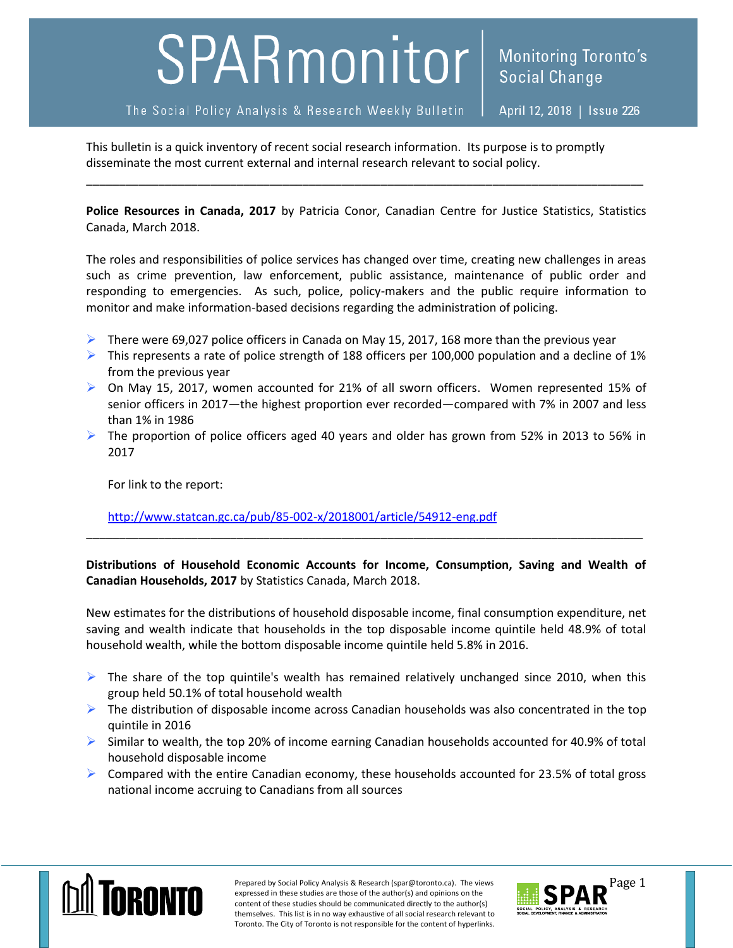## SPARmonitor

April 12, 2018 | Issue 226

This bulletin is a quick inventory of recent social research information. Its purpose is to promptly disseminate the most current external and internal research relevant to social policy.

**Police Resources in Canada, 2017** by Patricia Conor, Canadian Centre for Justice Statistics, Statistics Canada, March 2018.

\_\_\_\_\_\_\_\_\_\_\_\_\_\_\_\_\_\_\_\_\_\_\_\_\_\_\_\_\_\_\_\_\_\_\_\_\_\_\_\_\_\_\_\_\_\_\_\_\_\_\_\_\_\_\_\_\_\_\_\_\_\_\_\_\_\_\_\_\_\_\_\_\_\_\_\_\_\_\_\_\_\_\_\_\_

The roles and responsibilities of police services has changed over time, creating new challenges in areas such as crime prevention, law enforcement, public assistance, maintenance of public order and responding to emergencies. As such, police, policy-makers and the public require information to monitor and make information-based decisions regarding the administration of policing.

- There were 69,027 police officers in Canada on May 15, 2017, 168 more than the previous year
- $\triangleright$  This represents a rate of police strength of 188 officers per 100,000 population and a decline of 1% from the previous year
- On May 15, 2017, women accounted for 21% of all sworn officers. Women represented 15% of senior officers in 2017—the highest proportion ever recorded—compared with 7% in 2007 and less than 1% in 1986
- $\triangleright$  The proportion of police officers aged 40 years and older has grown from 52% in 2013 to 56% in 2017

For link to the report:

<http://www.statcan.gc.ca/pub/85-002-x/2018001/article/54912-eng.pdf>

**Distributions of Household Economic Accounts for Income, Consumption, Saving and Wealth of Canadian Households, 2017** by Statistics Canada, March 2018.

\_\_\_\_\_\_\_\_\_\_\_\_\_\_\_\_\_\_\_\_\_\_\_\_\_\_\_\_\_\_\_\_\_\_\_\_\_\_\_\_\_\_\_\_\_\_\_\_\_\_\_\_\_\_\_\_\_\_\_\_\_\_\_\_\_\_\_\_\_\_\_\_\_\_\_\_\_\_\_\_\_\_\_\_\_

New estimates for the distributions of household disposable income, final consumption expenditure, net saving and wealth indicate that households in the top disposable income quintile held 48.9% of total household wealth, while the bottom disposable income quintile held 5.8% in 2016.

- $\triangleright$  The share of the top quintile's wealth has remained relatively unchanged since 2010, when this group held 50.1% of total household wealth
- $\triangleright$  The distribution of disposable income across Canadian households was also concentrated in the top quintile in 2016
- $\triangleright$  Similar to wealth, the top 20% of income earning Canadian households accounted for 40.9% of total household disposable income
- $\triangleright$  Compared with the entire Canadian economy, these households accounted for 23.5% of total gross national income accruing to Canadians from all sources



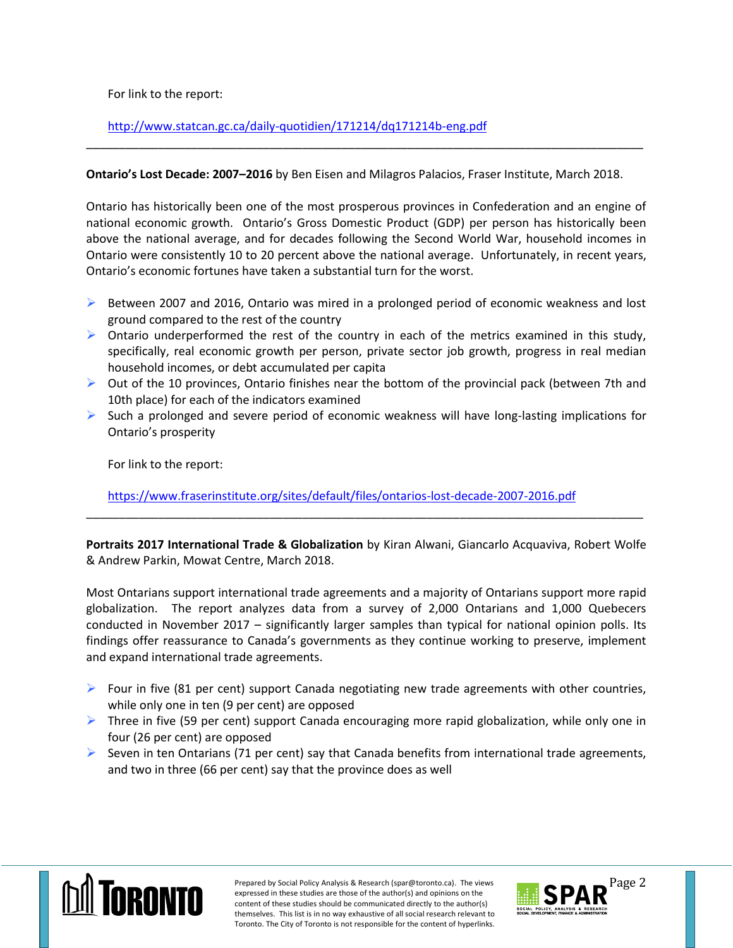For link to the report:

<http://www.statcan.gc.ca/daily-quotidien/171214/dq171214b-eng.pdf>

## **Ontario's Lost Decade: 2007–2016** by Ben Eisen and Milagros Palacios, Fraser Institute, March 2018.

\_\_\_\_\_\_\_\_\_\_\_\_\_\_\_\_\_\_\_\_\_\_\_\_\_\_\_\_\_\_\_\_\_\_\_\_\_\_\_\_\_\_\_\_\_\_\_\_\_\_\_\_\_\_\_\_\_\_\_\_\_\_\_\_\_\_\_\_\_\_\_\_\_\_\_\_\_\_\_\_\_\_\_\_\_

Ontario has historically been one of the most prosperous provinces in Confederation and an engine of national economic growth. Ontario's Gross Domestic Product (GDP) per person has historically been above the national average, and for decades following the Second World War, household incomes in Ontario were consistently 10 to 20 percent above the national average. Unfortunately, in recent years, Ontario's economic fortunes have taken a substantial turn for the worst.

- $\triangleright$  Between 2007 and 2016, Ontario was mired in a prolonged period of economic weakness and lost ground compared to the rest of the country
- $\triangleright$  Ontario underperformed the rest of the country in each of the metrics examined in this study, specifically, real economic growth per person, private sector job growth, progress in real median household incomes, or debt accumulated per capita
- $\triangleright$  Out of the 10 provinces, Ontario finishes near the bottom of the provincial pack (between 7th and 10th place) for each of the indicators examined
- $\triangleright$  Such a prolonged and severe period of economic weakness will have long-lasting implications for Ontario's prosperity

For link to the report:

<https://www.fraserinstitute.org/sites/default/files/ontarios-lost-decade-2007-2016.pdf>

**Portraits 2017 International Trade & Globalization** by Kiran Alwani, Giancarlo Acquaviva, Robert Wolfe & Andrew Parkin, Mowat Centre, March 2018.

\_\_\_\_\_\_\_\_\_\_\_\_\_\_\_\_\_\_\_\_\_\_\_\_\_\_\_\_\_\_\_\_\_\_\_\_\_\_\_\_\_\_\_\_\_\_\_\_\_\_\_\_\_\_\_\_\_\_\_\_\_\_\_\_\_\_\_\_\_\_\_\_\_\_\_\_\_\_\_\_\_\_\_\_\_

Most Ontarians support international trade agreements and a majority of Ontarians support more rapid globalization. The report analyzes data from a survey of 2,000 Ontarians and 1,000 Quebecers conducted in November 2017 – significantly larger samples than typical for national opinion polls. Its findings offer reassurance to Canada's governments as they continue working to preserve, implement and expand international trade agreements.

- $\triangleright$  Four in five (81 per cent) support Canada negotiating new trade agreements with other countries, while only one in ten (9 per cent) are opposed
- $\triangleright$  Three in five (59 per cent) support Canada encouraging more rapid globalization, while only one in four (26 per cent) are opposed
- Seven in ten Ontarians (71 per cent) say that Canada benefits from international trade agreements, and two in three (66 per cent) say that the province does as well